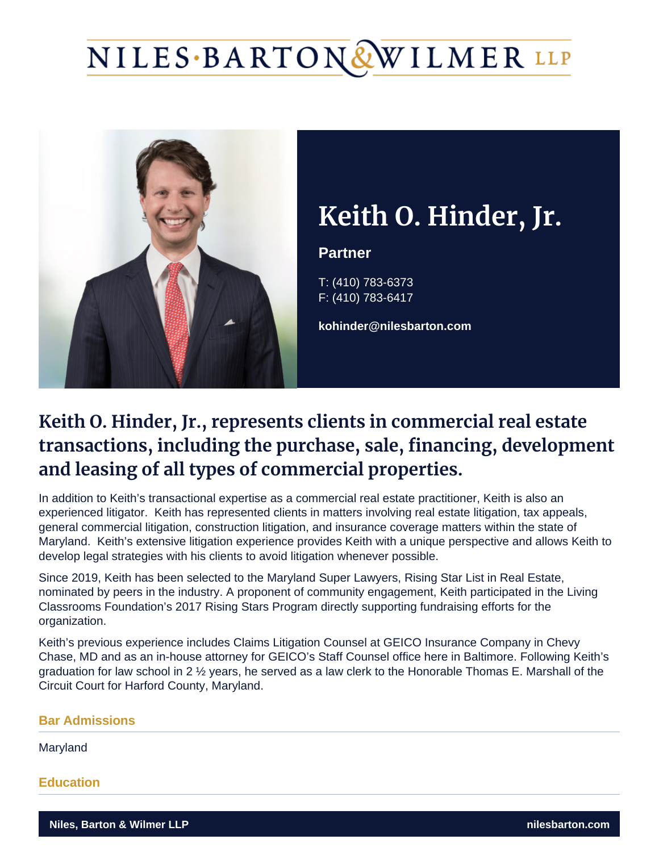# NILES·BARTON&WILMER LLP



## **Keith O. Hinder, Jr.**

#### **Partner**

T: (410) 783-6373 F: (410) 783-6417

**kohinder@nilesbarton.com**

### **Keith O. Hinder, Jr., represents clients in commercial real estate transactions, including the purchase, sale, financing, development and leasing of all types of commercial properties.**

In addition to Keith's transactional expertise as a commercial real estate practitioner, Keith is also an experienced litigator. Keith has represented clients in matters involving real estate litigation, tax appeals, general commercial litigation, construction litigation, and insurance coverage matters within the state of Maryland. Keith's extensive litigation experience provides Keith with a unique perspective and allows Keith to develop legal strategies with his clients to avoid litigation whenever possible.

Since 2019, Keith has been selected to the Maryland Super Lawyers, Rising Star List in Real Estate, nominated by peers in the industry. A proponent of community engagement, Keith participated in the Living Classrooms Foundation's 2017 Rising Stars Program directly supporting fundraising efforts for the organization.

Keith's previous experience includes Claims Litigation Counsel at GEICO Insurance Company in Chevy Chase, MD and as an in-house attorney for GEICO's Staff Counsel office here in Baltimore. Following Keith's graduation for law school in 2 ½ years, he served as a law clerk to the Honorable Thomas E. Marshall of the Circuit Court for Harford County, Maryland.

#### **Bar Admissions**

Maryland

**Education**